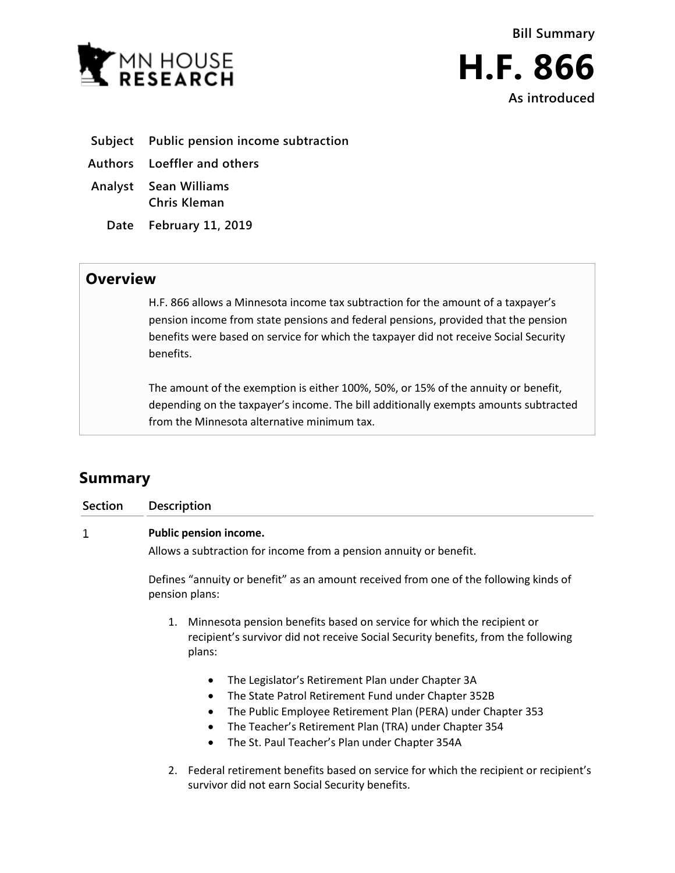



- **Subject Public pension income subtraction**
- **Authors Loeffler and others**
- **Analyst Sean Williams Chris Kleman**
	- **Date February 11, 2019**

## **Overview**

H.F. 866 allows a Minnesota income tax subtraction for the amount of a taxpayer's pension income from state pensions and federal pensions, provided that the pension benefits were based on service for which the taxpayer did not receive Social Security benefits.

The amount of the exemption is either 100%, 50%, or 15% of the annuity or benefit, depending on the taxpayer's income. The bill additionally exempts amounts subtracted from the Minnesota alternative minimum tax.

## **Summary**

| <b>Section</b> | <b>Description</b>                                                                                                                                                                                                                                                                                                         |  |  |
|----------------|----------------------------------------------------------------------------------------------------------------------------------------------------------------------------------------------------------------------------------------------------------------------------------------------------------------------------|--|--|
| 1              | Public pension income.                                                                                                                                                                                                                                                                                                     |  |  |
|                | Allows a subtraction for income from a pension annuity or benefit.                                                                                                                                                                                                                                                         |  |  |
|                | Defines "annuity or benefit" as an amount received from one of the following kinds of<br>pension plans:                                                                                                                                                                                                                    |  |  |
|                | Minnesota pension benefits based on service for which the recipient or<br>1.<br>recipient's survivor did not receive Social Security benefits, from the following<br>plans:                                                                                                                                                |  |  |
|                | The Legislator's Retirement Plan under Chapter 3A<br>$\bullet$<br>The State Patrol Retirement Fund under Chapter 352B<br>The Public Employee Retirement Plan (PERA) under Chapter 353<br>$\bullet$<br>The Teacher's Retirement Plan (TRA) under Chapter 354<br>$\bullet$<br>The St. Paul Teacher's Plan under Chapter 354A |  |  |

2. Federal retirement benefits based on service for which the recipient or recipient's survivor did not earn Social Security benefits.